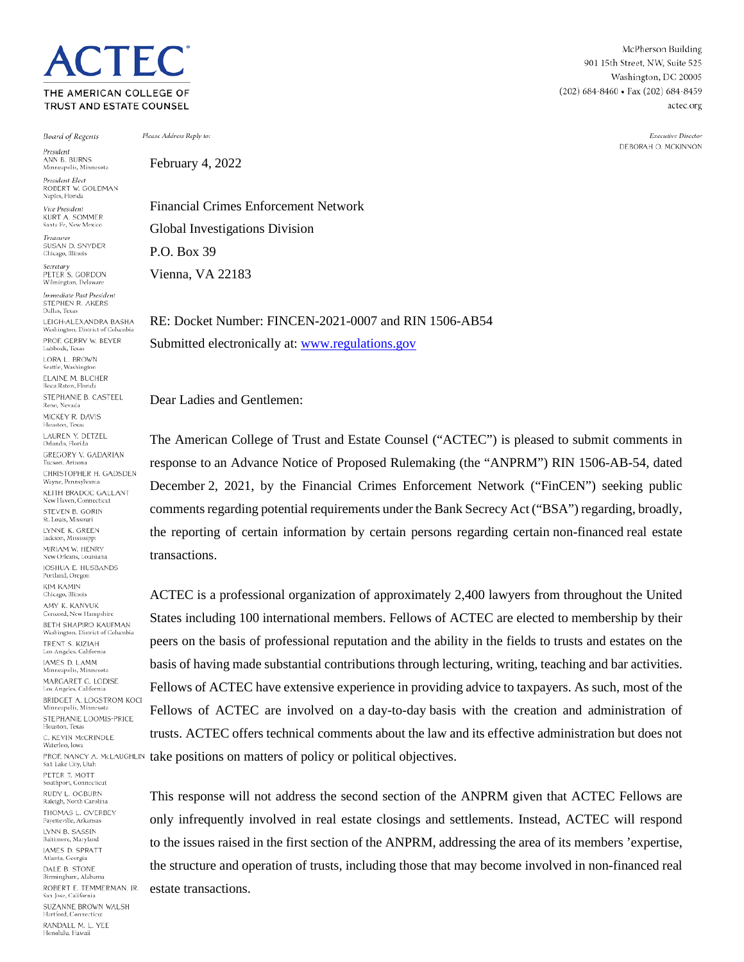THE AMERICAN COLLEGE OF TRUST AND ESTATE COUNSEL

 $\cap$  TFC

**Board of Regents** 

President ANN B. BURNS<br>Minneapolis, Minnesota

President-Elect ROBERT W. GOLDMAN Naples, Florida

Vice President **KURT A. SOMMER** Santa Fe, New Mexico

Treasurer SLISAN D. SNYDER Chicago, Illinois

Secretary<br>PETER S. GORDON Wilmington, Delaware

iediate Past President STEPHEN R. AKERS Dallas, Texas LEIGH-ALEXANDRA BASHA Washington, District of Columb PROF. GERRY W. BEYER Lubbock, Texas LORA L. BROWN Seattle, Washington ELAINE M. BUCHER Boca Raton, Florida STEPHANIE B. CASTEEL Reno, Nevada MICKEY R. DAVIS Houston, Texas LAUREN Y. DETZEL Orlando, Florida GREGORY V. GADARIAN Tucson, Arizona CHRISTOPHER H GADSDEN Wayne, Pennsylvania KEITH BRADOC GALLANT New Haven, Connecticut STEVEN B. GORIN St. Louis, Missouri LYNNE K. GREEN Jackson, Mississipp MIRIAM W. HENRY New Orleans, Louisiana JOSHUA E. HUSBANDS Portland, Oregon **KIM KAMIN** Chicago, Illinois AMY K. KANYUK Concord, New Hampshire **BETH SHAPIRO KAUFMAN** Washington, District of Columbia TRENT S KIZIAH Los Angeles, California **IAMES D. LAMM** Minneapolis, Minnesota MARGARET G. LODISE Los Angeles, California **BRIDGET A. LOGSTROM KOCI** Minneapolis, Minnesota STEPHANIE LOOMIS-PRICE Houston, Texas C. KEVIN McCRINDLE Waterloo, Iowa Salt Lake City, Utah PETER T\_MOTT Southport, Connecticut RUDY L. OGBURN Raleigh, North Carolina THOMAS L. OVERBEY Fayetteville, Arkansas LYNN B. SASSIN Baltimore, Maryland **JAMES D. SPRATT** Atlanta, Georgia DALE B. STONE Birmingham, Alabama ROBERT E. TEMMERMAN, IR. San Jose, California SUZANNE BROWN WALSH Hartford, Connecticu RANDALL M. L. YEE

Honolulu, Hawaii

Please Address Reply to:

February 4, 2022

Financial Crimes Enforcement Network Global Investigations Division P.O. Box 39 Vienna, VA 22183

RE: Docket Number: FINCEN-2021-0007 and RIN 1506-AB54 Submitted electronically at[: www.regulations.gov](http://www.regulations.gov/)

Dear Ladies and Gentlemen:

The American College of Trust and Estate Counsel ("ACTEC") is pleased to submit comments in response to an Advance Notice of Proposed Rulemaking (the "ANPRM") RIN 1506-AB-54, dated December 2, 2021, by the Financial Crimes Enforcement Network ("FinCEN") seeking public comments regarding potential requirements under the Bank Secrecy Act ("BSA") regarding, broadly, the reporting of certain information by certain persons regarding certain non-financed real estate transactions.

ACTEC is a professional organization of approximately 2,400 lawyers from throughout the United States including 100 international members. Fellows of ACTEC are elected to membership by their peers on the basis of professional reputation and the ability in the fields to trusts and estates on the basis of having made substantial contributions through lecturing, writing, teaching and bar activities. Fellows of ACTEC have extensive experience in providing advice to taxpayers. As such, most of the Fellows of ACTEC are involved on a day-to-day basis with the creation and administration of trusts. ACTEC offers technical comments about the law and its effective administration but does not PROF. NANCY A. MCLAUGHLIN take positions on matters of policy or political objectives.

> This response will not address the second section of the ANPRM given that ACTEC Fellows are only infrequently involved in real estate closings and settlements. Instead, ACTEC will respond to the issues raised in the first section of the ANPRM, addressing the area of its members 'expertise, the structure and operation of trusts, including those that may become involved in non-financed real estate transactions.

McPherson Building 901 15th Street, NW, Suite 525 Washington, DC 20005  $(202) 684 - 8460$  • Fax  $(202) 684 - 8459$ actec.org

> Executive Director DEBORAH O. MCKINNON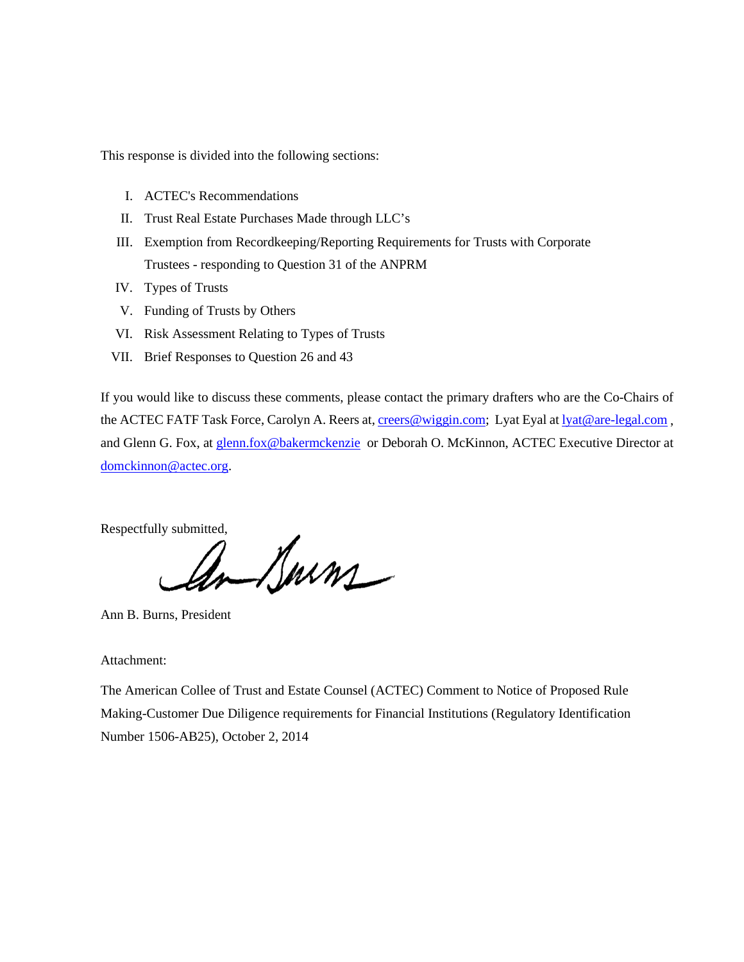This response is divided into the following sections:

- I. ACTEC's Recommendations
- II. Trust Real Estate Purchases Made through LLC's
- III. Exemption from Recordkeeping/Reporting Requirements for Trusts with Corporate Trustees - responding to Question 31 of the ANPRM
- IV. Types of Trusts
- V. Funding of Trusts by Others
- VI. Risk Assessment Relating to Types of Trusts
- VII. Brief Responses to Question 26 and 43

If you would like to discuss these comments, please contact the primary drafters who are the Co-Chairs of the ACTEC FATF Task Force, Carolyn A. Reers at, [creers@wiggin.com;](mailto:creers@wiggin.com) Lyat Eyal a[t lyat@are-legal.com](mailto:lyat@are-legal.com), and Glenn G. Fox, at [glenn.fox@bakermckenzie](mailto:glenn.fox@bakermckenzie) or Deborah O. McKinnon, ACTEC Executive Director at [domckinnon@actec.org.](mailto:domckinnon@actec.org)

Respectfully submitted,

Ann B. Burns, President

Attachment:

The American Collee of Trust and Estate Counsel (ACTEC) Comment to Notice of Proposed Rule Making-Customer Due Diligence requirements for Financial Institutions (Regulatory Identification Number 1506-AB25), October 2, 2014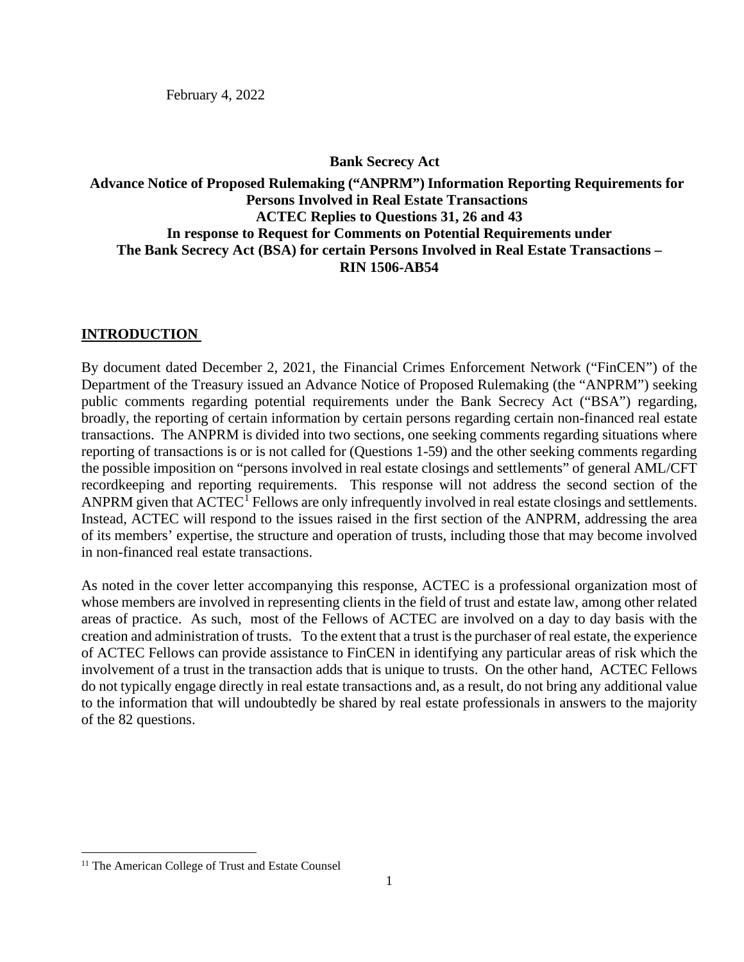February 4, 2022

### **Bank Secrecy Act**

# **Advance Notice of Proposed Rulemaking ("ANPRM") Information Reporting Requirements for Persons Involved in Real Estate Transactions ACTEC Replies to Questions 31, 26 and 43 In response to Request for Comments on Potential Requirements under The Bank Secrecy Act (BSA) for certain Persons Involved in Real Estate Transactions – RIN 1506-AB54**

### **INTRODUCTION**

By document dated December 2, 2021, the Financial Crimes Enforcement Network ("FinCEN") of the Department of the Treasury issued an Advance Notice of Proposed Rulemaking (the "ANPRM") seeking public comments regarding potential requirements under the Bank Secrecy Act ("BSA") regarding, broadly, the reporting of certain information by certain persons regarding certain non-financed real estate transactions. The ANPRM is divided into two sections, one seeking comments regarding situations where reporting of transactions is or is not called for (Questions 1-59) and the other seeking comments regarding the possible imposition on "persons involved in real estate closings and settlements" of general AML/CFT recordkeeping and reporting requirements. This response will not address the second section of the ANPRM given that  $ACTEC<sup>1</sup>$  $ACTEC<sup>1</sup>$  $ACTEC<sup>1</sup>$  Fellows are only infrequently involved in real estate closings and settlements. Instead, ACTEC will respond to the issues raised in the first section of the ANPRM, addressing the area of its members' expertise, the structure and operation of trusts, including those that may become involved in non-financed real estate transactions.

As noted in the cover letter accompanying this response, ACTEC is a professional organization most of whose members are involved in representing clients in the field of trust and estate law, among other related areas of practice. As such, most of the Fellows of ACTEC are involved on a day to day basis with the creation and administration of trusts. To the extent that a trust is the purchaser of real estate, the experience of ACTEC Fellows can provide assistance to FinCEN in identifying any particular areas of risk which the involvement of a trust in the transaction adds that is unique to trusts. On the other hand, ACTEC Fellows do not typically engage directly in real estate transactions and, as a result, do not bring any additional value to the information that will undoubtedly be shared by real estate professionals in answers to the majority of the 82 questions.

<span id="page-2-0"></span><sup>&</sup>lt;sup>11</sup> The American College of Trust and Estate Counsel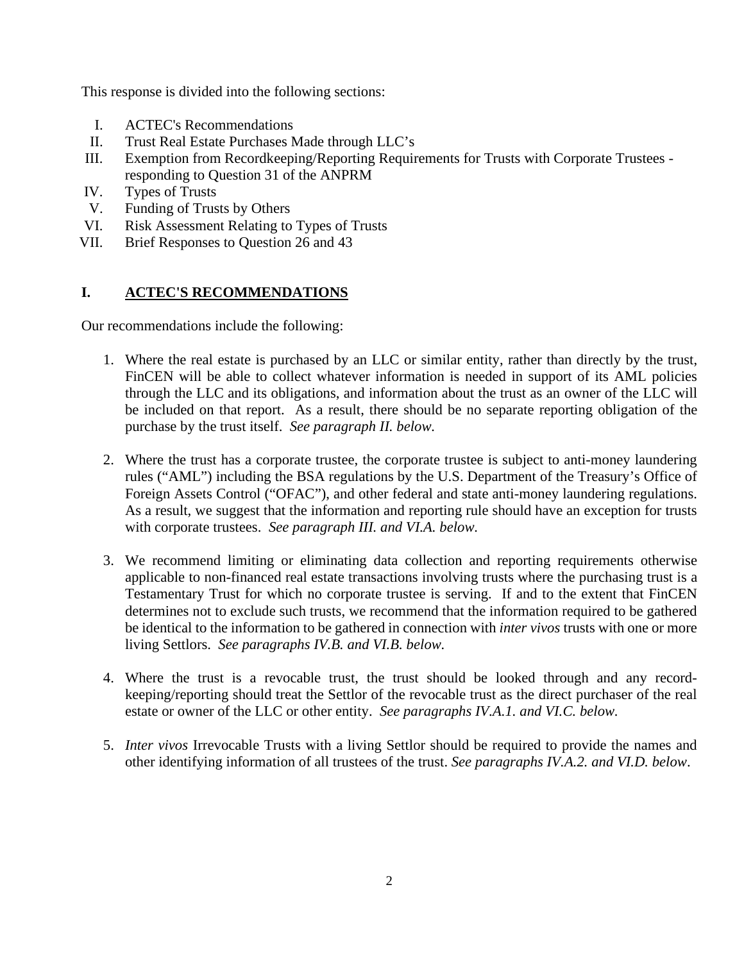This response is divided into the following sections:

- I. ACTEC's Recommendations
- II. Trust Real Estate Purchases Made through LLC's
- III. Exemption from Recordkeeping/Reporting Requirements for Trusts with Corporate Trustees responding to Question 31 of the ANPRM
- IV. Types of Trusts
- V. Funding of Trusts by Others
- VI. Risk Assessment Relating to Types of Trusts
- VII. Brief Responses to Question 26 and 43

# **I. ACTEC'S RECOMMENDATIONS**

Our recommendations include the following:

- 1. Where the real estate is purchased by an LLC or similar entity, rather than directly by the trust, FinCEN will be able to collect whatever information is needed in support of its AML policies through the LLC and its obligations, and information about the trust as an owner of the LLC will be included on that report. As a result, there should be no separate reporting obligation of the purchase by the trust itself. *See paragraph II. below.*
- 2. Where the trust has a corporate trustee, the corporate trustee is subject to anti-money laundering rules ("AML") including the BSA regulations by the U.S. Department of the Treasury's Office of Foreign Assets Control ("OFAC"), and other federal and state anti-money laundering regulations. As a result, we suggest that the information and reporting rule should have an exception for trusts with corporate trustees. *See paragraph III. and VI.A. below.*
- 3. We recommend limiting or eliminating data collection and reporting requirements otherwise applicable to non-financed real estate transactions involving trusts where the purchasing trust is a Testamentary Trust for which no corporate trustee is serving. If and to the extent that FinCEN determines not to exclude such trusts, we recommend that the information required to be gathered be identical to the information to be gathered in connection with *inter vivos* trusts with one or more living Settlors. *See paragraphs IV.B. and VI.B. below.*
- 4. Where the trust is a revocable trust, the trust should be looked through and any recordkeeping/reporting should treat the Settlor of the revocable trust as the direct purchaser of the real estate or owner of the LLC or other entity. *See paragraphs IV.A.1. and VI.C. below.*
- 5. *Inter vivos* Irrevocable Trusts with a living Settlor should be required to provide the names and other identifying information of all trustees of the trust. *See paragraphs IV.A.2. and VI.D. below*.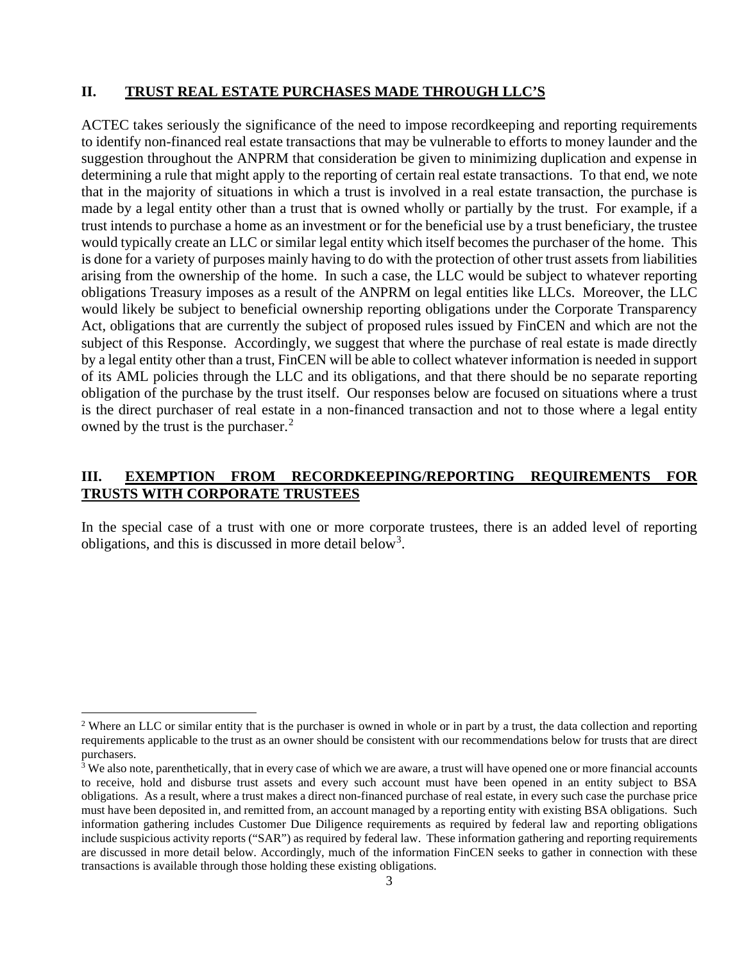#### **II. TRUST REAL ESTATE PURCHASES MADE THROUGH LLC'S**

ACTEC takes seriously the significance of the need to impose recordkeeping and reporting requirements to identify non-financed real estate transactions that may be vulnerable to efforts to money launder and the suggestion throughout the ANPRM that consideration be given to minimizing duplication and expense in determining a rule that might apply to the reporting of certain real estate transactions. To that end, we note that in the majority of situations in which a trust is involved in a real estate transaction, the purchase is made by a legal entity other than a trust that is owned wholly or partially by the trust. For example, if a trust intends to purchase a home as an investment or for the beneficial use by a trust beneficiary, the trustee would typically create an LLC or similar legal entity which itself becomes the purchaser of the home. This is done for a variety of purposes mainly having to do with the protection of other trust assets from liabilities arising from the ownership of the home. In such a case, the LLC would be subject to whatever reporting obligations Treasury imposes as a result of the ANPRM on legal entities like LLCs. Moreover, the LLC would likely be subject to beneficial ownership reporting obligations under the Corporate Transparency Act, obligations that are currently the subject of proposed rules issued by FinCEN and which are not the subject of this Response. Accordingly, we suggest that where the purchase of real estate is made directly by a legal entity other than a trust, FinCEN will be able to collect whatever information is needed in support of its AML policies through the LLC and its obligations, and that there should be no separate reporting obligation of the purchase by the trust itself. Our responses below are focused on situations where a trust is the direct purchaser of real estate in a non-financed transaction and not to those where a legal entity owned by the trust is the purchaser.<sup>[2](#page-4-0)</sup>

## **III. EXEMPTION FROM RECORDKEEPING/REPORTING REQUIREMENTS FOR TRUSTS WITH CORPORATE TRUSTEES**

In the special case of a trust with one or more corporate trustees, there is an added level of reporting obligations, and this is discussed in more detail below<sup>[3](#page-4-1)</sup>.

<span id="page-4-0"></span><sup>&</sup>lt;sup>2</sup> Where an LLC or similar entity that is the purchaser is owned in whole or in part by a trust, the data collection and reporting requirements applicable to the trust as an owner should be consistent with our recommendations below for trusts that are direct purchasers.

<span id="page-4-1"></span> $3\overline{3}$  We also note, parenthetically, that in every case of which we are aware, a trust will have opened one or more financial accounts to receive, hold and disburse trust assets and every such account must have been opened in an entity subject to BSA obligations. As a result, where a trust makes a direct non-financed purchase of real estate, in every such case the purchase price must have been deposited in, and remitted from, an account managed by a reporting entity with existing BSA obligations. Such information gathering includes Customer Due Diligence requirements as required by federal law and reporting obligations include suspicious activity reports ("SAR") as required by federal law. These information gathering and reporting requirements are discussed in more detail below. Accordingly, much of the information FinCEN seeks to gather in connection with these transactions is available through those holding these existing obligations.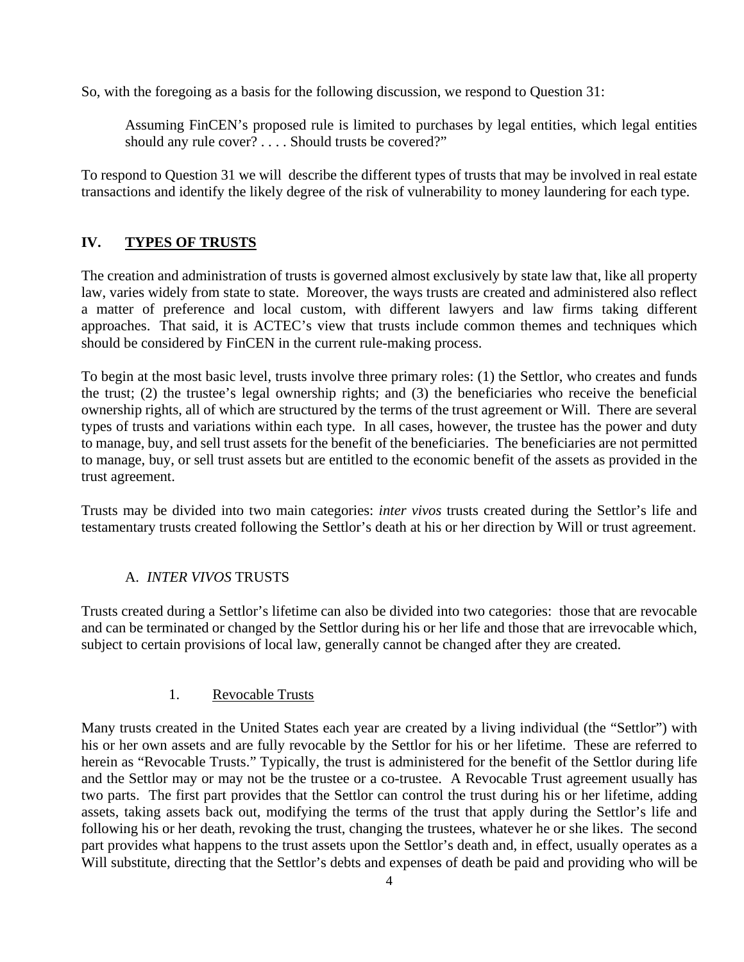So, with the foregoing as a basis for the following discussion, we respond to Question 31:

Assuming FinCEN's proposed rule is limited to purchases by legal entities, which legal entities should any rule cover? . . . . Should trusts be covered?"

To respond to Question 31 we will describe the different types of trusts that may be involved in real estate transactions and identify the likely degree of the risk of vulnerability to money laundering for each type.

# **IV. TYPES OF TRUSTS**

The creation and administration of trusts is governed almost exclusively by state law that, like all property law, varies widely from state to state. Moreover, the ways trusts are created and administered also reflect a matter of preference and local custom, with different lawyers and law firms taking different approaches. That said, it is ACTEC's view that trusts include common themes and techniques which should be considered by FinCEN in the current rule-making process.

To begin at the most basic level, trusts involve three primary roles: (1) the Settlor, who creates and funds the trust; (2) the trustee's legal ownership rights; and (3) the beneficiaries who receive the beneficial ownership rights, all of which are structured by the terms of the trust agreement or Will. There are several types of trusts and variations within each type. In all cases, however, the trustee has the power and duty to manage, buy, and sell trust assets for the benefit of the beneficiaries. The beneficiaries are not permitted to manage, buy, or sell trust assets but are entitled to the economic benefit of the assets as provided in the trust agreement.

Trusts may be divided into two main categories: *inter vivos* trusts created during the Settlor's life and testamentary trusts created following the Settlor's death at his or her direction by Will or trust agreement.

# A. *INTER VIVOS* TRUSTS

Trusts created during a Settlor's lifetime can also be divided into two categories: those that are revocable and can be terminated or changed by the Settlor during his or her life and those that are irrevocable which, subject to certain provisions of local law, generally cannot be changed after they are created.

### 1. Revocable Trusts

Many trusts created in the United States each year are created by a living individual (the "Settlor") with his or her own assets and are fully revocable by the Settlor for his or her lifetime. These are referred to herein as "Revocable Trusts." Typically, the trust is administered for the benefit of the Settlor during life and the Settlor may or may not be the trustee or a co-trustee. A Revocable Trust agreement usually has two parts. The first part provides that the Settlor can control the trust during his or her lifetime, adding assets, taking assets back out, modifying the terms of the trust that apply during the Settlor's life and following his or her death, revoking the trust, changing the trustees, whatever he or she likes. The second part provides what happens to the trust assets upon the Settlor's death and, in effect, usually operates as a Will substitute, directing that the Settlor's debts and expenses of death be paid and providing who will be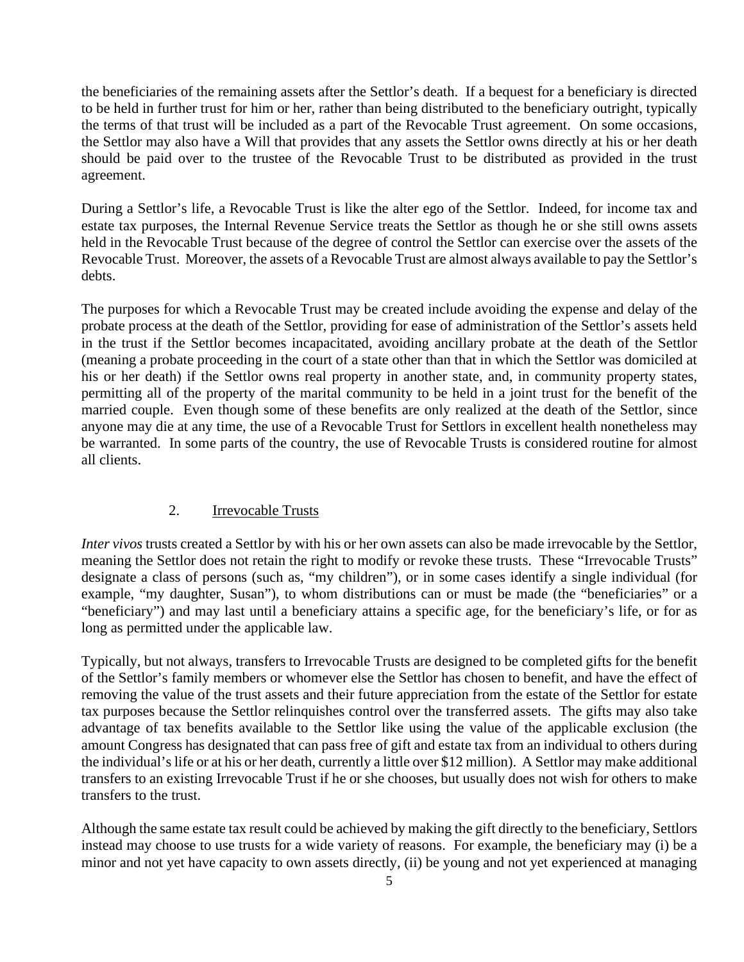the beneficiaries of the remaining assets after the Settlor's death. If a bequest for a beneficiary is directed to be held in further trust for him or her, rather than being distributed to the beneficiary outright, typically the terms of that trust will be included as a part of the Revocable Trust agreement. On some occasions, the Settlor may also have a Will that provides that any assets the Settlor owns directly at his or her death should be paid over to the trustee of the Revocable Trust to be distributed as provided in the trust agreement.

During a Settlor's life, a Revocable Trust is like the alter ego of the Settlor. Indeed, for income tax and estate tax purposes, the Internal Revenue Service treats the Settlor as though he or she still owns assets held in the Revocable Trust because of the degree of control the Settlor can exercise over the assets of the Revocable Trust. Moreover, the assets of a Revocable Trust are almost always available to pay the Settlor's debts.

The purposes for which a Revocable Trust may be created include avoiding the expense and delay of the probate process at the death of the Settlor, providing for ease of administration of the Settlor's assets held in the trust if the Settlor becomes incapacitated, avoiding ancillary probate at the death of the Settlor (meaning a probate proceeding in the court of a state other than that in which the Settlor was domiciled at his or her death) if the Settlor owns real property in another state, and, in community property states, permitting all of the property of the marital community to be held in a joint trust for the benefit of the married couple. Even though some of these benefits are only realized at the death of the Settlor, since anyone may die at any time, the use of a Revocable Trust for Settlors in excellent health nonetheless may be warranted. In some parts of the country, the use of Revocable Trusts is considered routine for almost all clients.

## 2. Irrevocable Trusts

*Inter vivos* trusts created a Settlor by with his or her own assets can also be made irrevocable by the Settlor, meaning the Settlor does not retain the right to modify or revoke these trusts. These "Irrevocable Trusts" designate a class of persons (such as, "my children"), or in some cases identify a single individual (for example, "my daughter, Susan"), to whom distributions can or must be made (the "beneficiaries" or a "beneficiary") and may last until a beneficiary attains a specific age, for the beneficiary's life, or for as long as permitted under the applicable law.

Typically, but not always, transfers to Irrevocable Trusts are designed to be completed gifts for the benefit of the Settlor's family members or whomever else the Settlor has chosen to benefit, and have the effect of removing the value of the trust assets and their future appreciation from the estate of the Settlor for estate tax purposes because the Settlor relinquishes control over the transferred assets. The gifts may also take advantage of tax benefits available to the Settlor like using the value of the applicable exclusion (the amount Congress has designated that can pass free of gift and estate tax from an individual to others during the individual's life or at his or her death, currently a little over \$12 million). A Settlor may make additional transfers to an existing Irrevocable Trust if he or she chooses, but usually does not wish for others to make transfers to the trust.

Although the same estate tax result could be achieved by making the gift directly to the beneficiary, Settlors instead may choose to use trusts for a wide variety of reasons. For example, the beneficiary may (i) be a minor and not yet have capacity to own assets directly, (ii) be young and not yet experienced at managing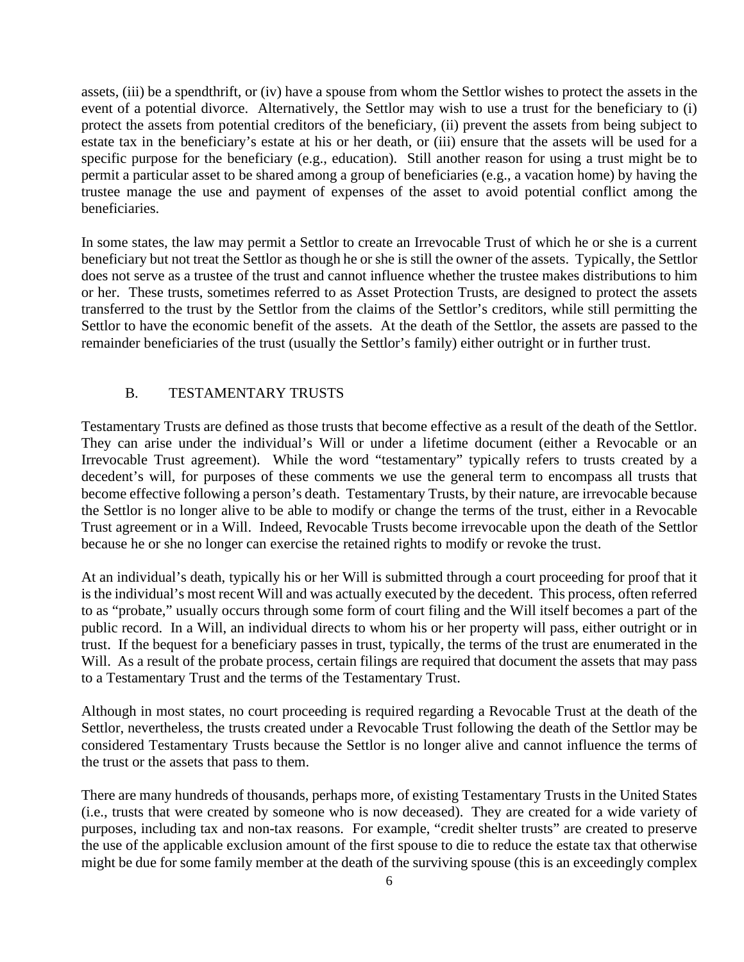assets, (iii) be a spendthrift, or (iv) have a spouse from whom the Settlor wishes to protect the assets in the event of a potential divorce. Alternatively, the Settlor may wish to use a trust for the beneficiary to (i) protect the assets from potential creditors of the beneficiary, (ii) prevent the assets from being subject to estate tax in the beneficiary's estate at his or her death, or (iii) ensure that the assets will be used for a specific purpose for the beneficiary (e.g., education). Still another reason for using a trust might be to permit a particular asset to be shared among a group of beneficiaries (e.g., a vacation home) by having the trustee manage the use and payment of expenses of the asset to avoid potential conflict among the beneficiaries.

In some states, the law may permit a Settlor to create an Irrevocable Trust of which he or she is a current beneficiary but not treat the Settlor as though he or she is still the owner of the assets. Typically, the Settlor does not serve as a trustee of the trust and cannot influence whether the trustee makes distributions to him or her. These trusts, sometimes referred to as Asset Protection Trusts, are designed to protect the assets transferred to the trust by the Settlor from the claims of the Settlor's creditors, while still permitting the Settlor to have the economic benefit of the assets. At the death of the Settlor, the assets are passed to the remainder beneficiaries of the trust (usually the Settlor's family) either outright or in further trust.

### B. TESTAMENTARY TRUSTS

Testamentary Trusts are defined as those trusts that become effective as a result of the death of the Settlor. They can arise under the individual's Will or under a lifetime document (either a Revocable or an Irrevocable Trust agreement). While the word "testamentary" typically refers to trusts created by a decedent's will, for purposes of these comments we use the general term to encompass all trusts that become effective following a person's death. Testamentary Trusts, by their nature, are irrevocable because the Settlor is no longer alive to be able to modify or change the terms of the trust, either in a Revocable Trust agreement or in a Will. Indeed, Revocable Trusts become irrevocable upon the death of the Settlor because he or she no longer can exercise the retained rights to modify or revoke the trust.

At an individual's death, typically his or her Will is submitted through a court proceeding for proof that it is the individual's most recent Will and was actually executed by the decedent. This process, often referred to as "probate," usually occurs through some form of court filing and the Will itself becomes a part of the public record. In a Will, an individual directs to whom his or her property will pass, either outright or in trust. If the bequest for a beneficiary passes in trust, typically, the terms of the trust are enumerated in the Will. As a result of the probate process, certain filings are required that document the assets that may pass to a Testamentary Trust and the terms of the Testamentary Trust.

Although in most states, no court proceeding is required regarding a Revocable Trust at the death of the Settlor, nevertheless, the trusts created under a Revocable Trust following the death of the Settlor may be considered Testamentary Trusts because the Settlor is no longer alive and cannot influence the terms of the trust or the assets that pass to them.

There are many hundreds of thousands, perhaps more, of existing Testamentary Trusts in the United States (i.e., trusts that were created by someone who is now deceased). They are created for a wide variety of purposes, including tax and non-tax reasons. For example, "credit shelter trusts" are created to preserve the use of the applicable exclusion amount of the first spouse to die to reduce the estate tax that otherwise might be due for some family member at the death of the surviving spouse (this is an exceedingly complex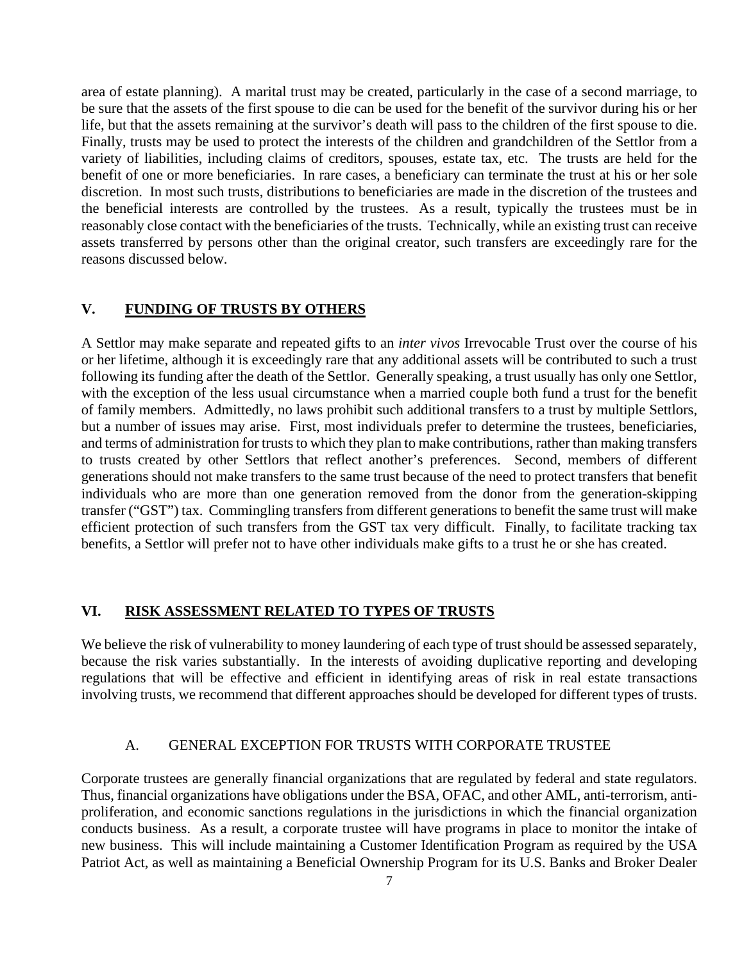area of estate planning). A marital trust may be created, particularly in the case of a second marriage, to be sure that the assets of the first spouse to die can be used for the benefit of the survivor during his or her life, but that the assets remaining at the survivor's death will pass to the children of the first spouse to die. Finally, trusts may be used to protect the interests of the children and grandchildren of the Settlor from a variety of liabilities, including claims of creditors, spouses, estate tax, etc. The trusts are held for the benefit of one or more beneficiaries. In rare cases, a beneficiary can terminate the trust at his or her sole discretion. In most such trusts, distributions to beneficiaries are made in the discretion of the trustees and the beneficial interests are controlled by the trustees. As a result, typically the trustees must be in reasonably close contact with the beneficiaries of the trusts. Technically, while an existing trust can receive assets transferred by persons other than the original creator, such transfers are exceedingly rare for the reasons discussed below.

### **V. FUNDING OF TRUSTS BY OTHERS**

A Settlor may make separate and repeated gifts to an *inter vivos* Irrevocable Trust over the course of his or her lifetime, although it is exceedingly rare that any additional assets will be contributed to such a trust following its funding after the death of the Settlor. Generally speaking, a trust usually has only one Settlor, with the exception of the less usual circumstance when a married couple both fund a trust for the benefit of family members. Admittedly, no laws prohibit such additional transfers to a trust by multiple Settlors, but a number of issues may arise. First, most individuals prefer to determine the trustees, beneficiaries, and terms of administration for trusts to which they plan to make contributions, rather than making transfers to trusts created by other Settlors that reflect another's preferences. Second, members of different generations should not make transfers to the same trust because of the need to protect transfers that benefit individuals who are more than one generation removed from the donor from the generation-skipping transfer ("GST") tax. Commingling transfers from different generations to benefit the same trust will make efficient protection of such transfers from the GST tax very difficult. Finally, to facilitate tracking tax benefits, a Settlor will prefer not to have other individuals make gifts to a trust he or she has created.

#### **VI. RISK ASSESSMENT RELATED TO TYPES OF TRUSTS**

We believe the risk of vulnerability to money laundering of each type of trust should be assessed separately, because the risk varies substantially. In the interests of avoiding duplicative reporting and developing regulations that will be effective and efficient in identifying areas of risk in real estate transactions involving trusts, we recommend that different approaches should be developed for different types of trusts.

#### A. GENERAL EXCEPTION FOR TRUSTS WITH CORPORATE TRUSTEE

Corporate trustees are generally financial organizations that are regulated by federal and state regulators. Thus, financial organizations have obligations under the BSA, OFAC, and other AML, anti-terrorism, antiproliferation, and economic sanctions regulations in the jurisdictions in which the financial organization conducts business. As a result, a corporate trustee will have programs in place to monitor the intake of new business. This will include maintaining a Customer Identification Program as required by the USA Patriot Act, as well as maintaining a Beneficial Ownership Program for its U.S. Banks and Broker Dealer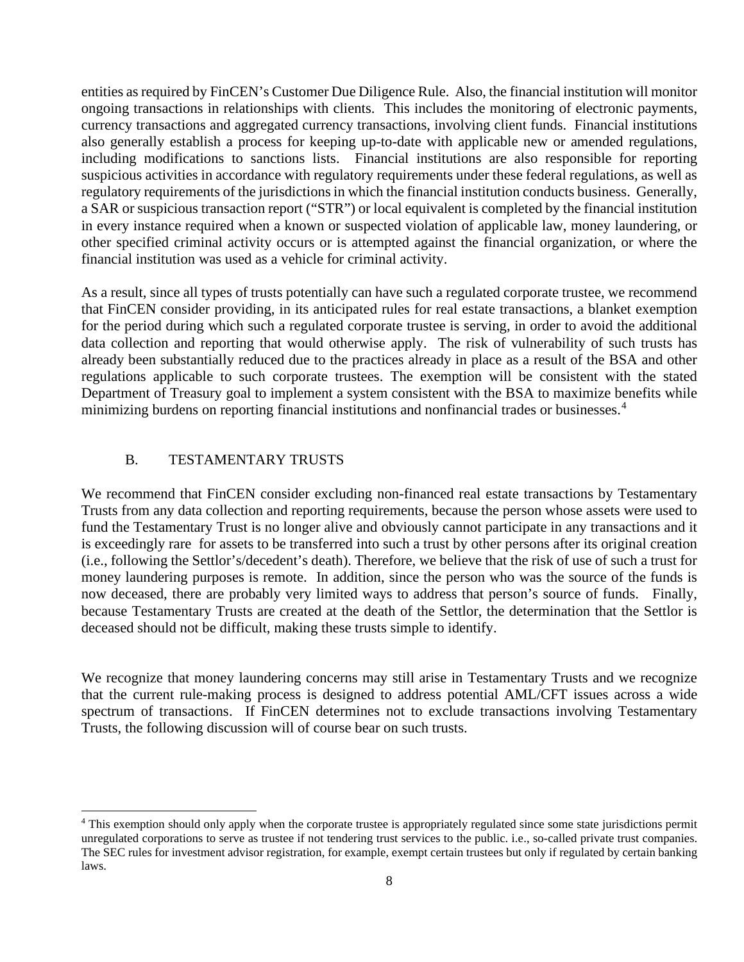entities as required by FinCEN's Customer Due Diligence Rule. Also, the financial institution will monitor ongoing transactions in relationships with clients. This includes the monitoring of electronic payments, currency transactions and aggregated currency transactions, involving client funds. Financial institutions also generally establish a process for keeping up-to-date with applicable new or amended regulations, including modifications to sanctions lists. Financial institutions are also responsible for reporting suspicious activities in accordance with regulatory requirements under these federal regulations, as well as regulatory requirements of the jurisdictions in which the financial institution conducts business. Generally, a SAR or suspicious transaction report ("STR") or local equivalent is completed by the financial institution in every instance required when a known or suspected violation of applicable law, money laundering, or other specified criminal activity occurs or is attempted against the financial organization, or where the financial institution was used as a vehicle for criminal activity.

As a result, since all types of trusts potentially can have such a regulated corporate trustee, we recommend that FinCEN consider providing, in its anticipated rules for real estate transactions, a blanket exemption for the period during which such a regulated corporate trustee is serving, in order to avoid the additional data collection and reporting that would otherwise apply. The risk of vulnerability of such trusts has already been substantially reduced due to the practices already in place as a result of the BSA and other regulations applicable to such corporate trustees. The exemption will be consistent with the stated Department of Treasury goal to implement a system consistent with the BSA to maximize benefits while minimizing burdens on reporting financial institutions and nonfinancial trades or businesses.<sup>[4](#page-9-0)</sup>

### B. TESTAMENTARY TRUSTS

We recommend that FinCEN consider excluding non-financed real estate transactions by Testamentary Trusts from any data collection and reporting requirements, because the person whose assets were used to fund the Testamentary Trust is no longer alive and obviously cannot participate in any transactions and it is exceedingly rare for assets to be transferred into such a trust by other persons after its original creation (i.e., following the Settlor's/decedent's death). Therefore, we believe that the risk of use of such a trust for money laundering purposes is remote. In addition, since the person who was the source of the funds is now deceased, there are probably very limited ways to address that person's source of funds. Finally, because Testamentary Trusts are created at the death of the Settlor, the determination that the Settlor is deceased should not be difficult, making these trusts simple to identify.

We recognize that money laundering concerns may still arise in Testamentary Trusts and we recognize that the current rule-making process is designed to address potential AML/CFT issues across a wide spectrum of transactions. If FinCEN determines not to exclude transactions involving Testamentary Trusts, the following discussion will of course bear on such trusts.

<span id="page-9-0"></span><sup>4</sup> This exemption should only apply when the corporate trustee is appropriately regulated since some state jurisdictions permit unregulated corporations to serve as trustee if not tendering trust services to the public. i.e., so-called private trust companies. The SEC rules for investment advisor registration, for example, exempt certain trustees but only if regulated by certain banking laws.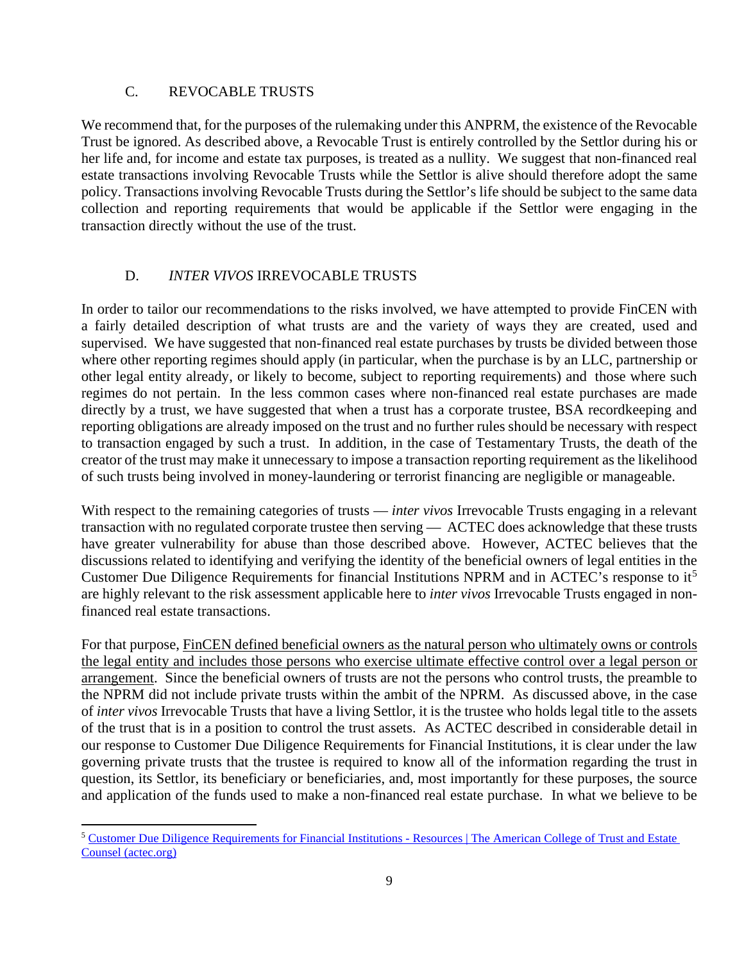### C. REVOCABLE TRUSTS

We recommend that, for the purposes of the rulemaking under this ANPRM, the existence of the Revocable Trust be ignored. As described above, a Revocable Trust is entirely controlled by the Settlor during his or her life and, for income and estate tax purposes, is treated as a nullity. We suggest that non-financed real estate transactions involving Revocable Trusts while the Settlor is alive should therefore adopt the same policy. Transactions involving Revocable Trusts during the Settlor's life should be subject to the same data collection and reporting requirements that would be applicable if the Settlor were engaging in the transaction directly without the use of the trust.

### D. *INTER VIVOS* IRREVOCABLE TRUSTS

In order to tailor our recommendations to the risks involved, we have attempted to provide FinCEN with a fairly detailed description of what trusts are and the variety of ways they are created, used and supervised. We have suggested that non-financed real estate purchases by trusts be divided between those where other reporting regimes should apply (in particular, when the purchase is by an LLC, partnership or other legal entity already, or likely to become, subject to reporting requirements) and those where such regimes do not pertain. In the less common cases where non-financed real estate purchases are made directly by a trust, we have suggested that when a trust has a corporate trustee, BSA recordkeeping and reporting obligations are already imposed on the trust and no further rules should be necessary with respect to transaction engaged by such a trust. In addition, in the case of Testamentary Trusts, the death of the creator of the trust may make it unnecessary to impose a transaction reporting requirement as the likelihood of such trusts being involved in money-laundering or terrorist financing are negligible or manageable.

With respect to the remaining categories of trusts — *inter vivos* Irrevocable Trusts engaging in a relevant transaction with no regulated corporate trustee then serving — ACTEC does acknowledge that these trusts have greater vulnerability for abuse than those described above. However, ACTEC believes that the discussions related to identifying and verifying the identity of the beneficial owners of legal entities in the Customer Due Diligence Requirements for financial Institutions NPRM and in ACTEC's response to it[5](#page-10-0) are highly relevant to the risk assessment applicable here to *inter vivos* Irrevocable Trusts engaged in nonfinanced real estate transactions.

For that purpose, FinCEN defined beneficial owners as the natural person who ultimately owns or controls the legal entity and includes those persons who exercise ultimate effective control over a legal person or arrangement. Since the beneficial owners of trusts are not the persons who control trusts, the preamble to the NPRM did not include private trusts within the ambit of the NPRM. As discussed above, in the case of *inter vivos* Irrevocable Trusts that have a living Settlor, it is the trustee who holds legal title to the assets of the trust that is in a position to control the trust assets. As ACTEC described in considerable detail in our response to [Customer Due Diligence Requirements for Financial Institutions,](https://www.actec.org/resources/customer-due-diligence-requirements-for-financial-institutions-/) it is clear under the law governing private trusts that the trustee is required to know all of the information regarding the trust in question, its Settlor, its beneficiary or beneficiaries, and, most importantly for these purposes, the source and application of the funds used to make a non-financed real estate purchase. In what we believe to be

<span id="page-10-0"></span><sup>5</sup> [Customer Due Diligence Requirements for Financial Institutions -](https://www.actec.org/resources/customer-due-diligence-requirements-for-financial-institutions-/) Resources | The American College of Trust and Estate [Counsel \(actec.org\)](https://www.actec.org/resources/customer-due-diligence-requirements-for-financial-institutions-/)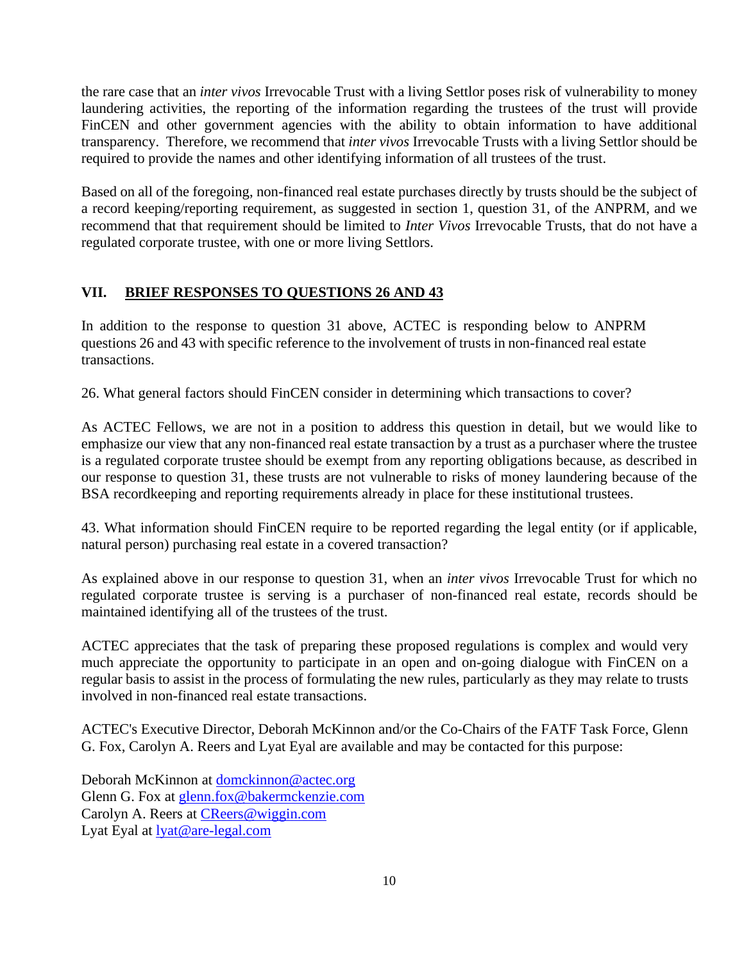the rare case that an *inter vivos* Irrevocable Trust with a living Settlor poses risk of vulnerability to money laundering activities, the reporting of the information regarding the trustees of the trust will provide FinCEN and other government agencies with the ability to obtain information to have additional transparency. Therefore, we recommend that *inter vivos* Irrevocable Trusts with a living Settlor should be required to provide the names and other identifying information of all trustees of the trust.

Based on all of the foregoing, non-financed real estate purchases directly by trusts should be the subject of a record keeping/reporting requirement, as suggested in section 1, question 31, of the ANPRM, and we recommend that that requirement should be limited to *Inter Vivos* Irrevocable Trusts, that do not have a regulated corporate trustee, with one or more living Settlors.

## **VII. BRIEF RESPONSES TO QUESTIONS 26 AND 43**

In addition to the response to question 31 above, ACTEC is responding below to ANPRM questions 26 and 43 with specific reference to the involvement of trusts in non-financed real estate transactions.

26. What general factors should FinCEN consider in determining which transactions to cover ?

As ACTEC Fellows, we are not in a position to address this question in detail, but we would like to emphasize our view that any non-financed real estate transaction by a trust as a purchaser where the trustee is a regulated corporate trustee should be exempt from any reporting obligations because, as described in our response to question 31, these trusts are not vulnerable to risks of money laundering because of the BSA recordkeeping and reporting requirements already in place for these institutional trustees.

43. What information should FinCEN require to be reported regarding the legal entity (or if applicable, natural person) purchasing real estate in a covered transaction ?

As explained above in our response to question 31, when an *inter vivos* Irrevocable Trust for which no regulated corporate trustee is serving is a purchaser of non-financed real estate, records should be maintained identifying all of the trustees of the trust.

ACTEC appreciates that the task of preparing these proposed regulations is complex and would very much appreciate the opportunity to participate in an open and on-going dialogue with FinCEN on a regular basis to assist in the process of formulating the new rules, particularly as they may relate to trusts involved in non-financed real estate transactions.

ACTEC's Executive Director, Deborah McKinnon and/or the Co-Chairs of the FATF Task Force, Glenn G. Fox, Carolyn A. Reers and Lyat Eyal are available and may be contacted for this purpose:

Deborah McKinnon at [domckinnon@actec.org](mailto:domckinnon@actec.org) Glenn G. Fox at [glenn.fox@bakermckenzie.com](mailto:glenn.fox@bakermckenzie.com) Carolyn A. Reers at [CReers@wiggin.com](mailto:CReers@wiggin.com) Lyat Eyal at [lyat@are-legal.com](mailto:lyat@are-legal.com)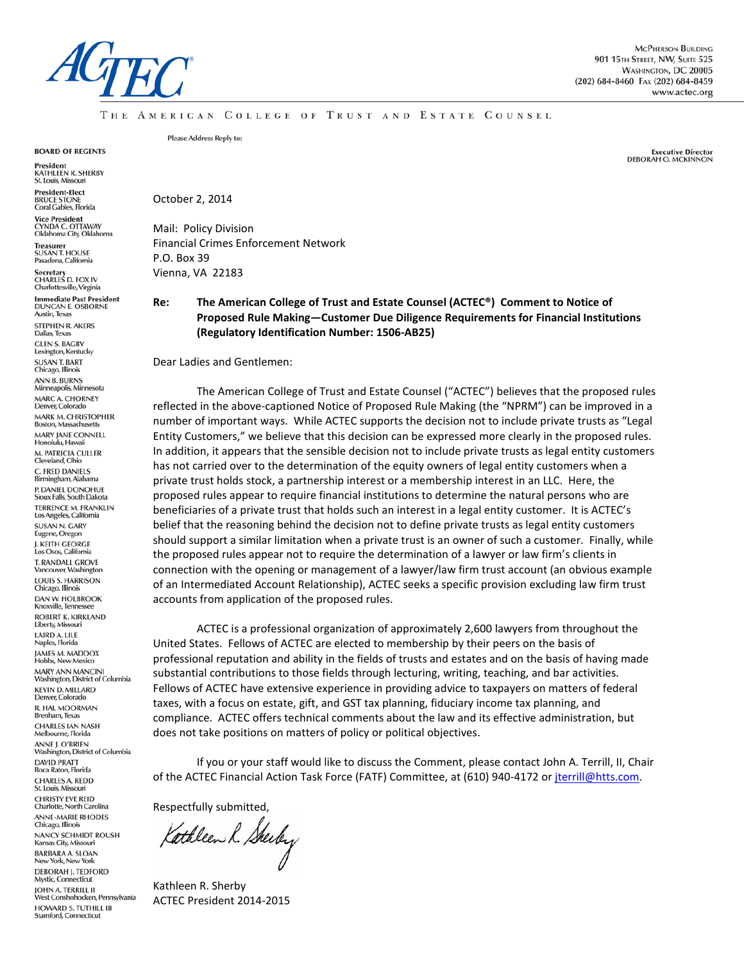

THE AMERICAN COLLEGE OF TRUST AND ESTATE COUNSEL

**BOARD OF REGENTS** 

President<br>KATHLEEN R. SHERBY<br>St. Louis, Missouri

**President-Elect** BRUCE STONE<br>Coral Gables, Florida

**Vice President** CYNDA C. OTTAWAY<br>Oklahoma City, Oklahoma **Treasurer** 

SUSAN T. HOUSE<br>Pasadena, California

Secretary<br>CHARLES D. FOX IV Charlottesville, Virginia

**Immediate Past President DUNCAN E. OSBORNE** Austin, Texas STEPHEN R. AKERS Dallas, Texas

**GLEN S. BAGBY** Lexington, Kentucky **SUSAN T. BART**<br>Chicago, Illinois ANN B. BURNS<br>Minneapolis, Minnesota MARC A. CHORNEY<br>Denver, Colorado MARK M. CHRISTOPHER **Boston, Massachusetts** MARY JANE CONNELL<br>Honolulu, Hawaii M. PATRICIA CULLER<br>Cleveland, Ohio C. FRED DANIELS<br>Birmingham, Alabama P. DANIEL DONOHUE<br>Sioux Falls, South Dakota **TERRENCE M. FRANKLIN** Los Angeles, California **SUSAN N. GARY** Eugene, Oregon J. KEITH GEORGE<br>Los Osos, California T. RANDALL GROVE Vancouver, Washington LOUIS S. HARRISON Chicago, Illinois **DAN W. HOLBROOK** Knoxville, Tennessee **ROBERT K. KIRKLAND** Liberty, Missouri LAIRD A. LILE Naples, Florida JAMES M. MADDOX<br>Hobbs, New Mexico MARY ANN MANCINI<br>Washington, District of Columbia KEVIN D. MILLARD<br>Denver, Colorado R. HAL MOORMAN<br>Brenham, Texas **CHARLES JAN NASH** Melbourne, Florida ANNE J. O'BRIEN<br>Washington, District of Columbia DAVID PRATT<br>Boca Raton, Florida CHARLES A. REDD St. Louis, Missouri **CHRISTY EVE REID** Charlotte, North Carolina ANNE-MARIE RHODES<br>Chicago, Illinois **NANCY SCHMIDT ROUSH** Kansas City, Missouri **BARBARA A. SLOAN** New York, New York **DEBORAH J. TEDFORD** Mystic, Connecticut JOHN A. TERRILL II<br>West Conshohocken, Pennsylvania

HOWARD S. TUTHILL III **Stamford, Connecticut** 

Please Address Reply to:

**Executive Director DEBORAH O. MCKINNON** 

October 2, 2014

Mail: Policy Division Financial Crimes Enforcement Network P.O. Box 39 Vienna, VA 22183

#### **Re: The American College of Trust and Estate Counsel (ACTEC®) Comment to Notice of Proposed Rule Making—Customer Due Diligence Requirements for Financial Institutions (Regulatory Identification Number: 1506-AB25)**

Dear Ladies and Gentlemen:

The American College of Trust and Estate Counsel ("ACTEC") believes that the proposed rules reflected in the above-captioned Notice of Proposed Rule Making (the "NPRM") can be improved in a number of important ways. While ACTEC supports the decision not to include private trusts as "Legal Entity Customers," we believe that this decision can be expressed more clearly in the proposed rules. In addition, it appears that the sensible decision not to include private trusts as legal entity customers has not carried over to the determination of the equity owners of legal entity customers when a private trust holds stock, a partnership interest or a membership interest in an LLC. Here, the proposed rules appear to require financial institutions to determine the natural persons who are beneficiaries of a private trust that holds such an interest in a legal entity customer. It is ACTEC's belief that the reasoning behind the decision not to define private trusts as legal entity customers should support a similar limitation when a private trust is an owner of such a customer. Finally, while the proposed rules appear not to require the determination of a lawyer or law firm's clients in connection with the opening or management of a lawyer/law firm trust account (an obvious example of an Intermediated Account Relationship), ACTEC seeks a specific provision excluding law firm trust accounts from application of the proposed rules.

ACTEC is a professional organization of approximately 2,600 lawyers from throughout the United States. Fellows of ACTEC are elected to membership by their peers on the basis of professional reputation and ability in the fields of trusts and estates and on the basis of having made substantial contributions to those fields through lecturing, writing, teaching, and bar activities. Fellows of ACTEC have extensive experience in providing advice to taxpayers on matters of federal taxes, with a focus on estate, gift, and GST tax planning, fiduciary income tax planning, and compliance. ACTEC offers technical comments about the law and its effective administration, but does not take positions on matters of policy or political objectives.

If you or your staff would like to discuss the Comment, please contact John A. Terrill, II, Chair of the ACTEC Financial Action Task Force (FATF) Committee, at (610) 940-4172 or [jterrill@htts.com.](mailto:jterrill@htts.com)

Respectfully submitted,

Kathleen R. Steeley

Kathleen R. Sherby ACTEC President 2014-2015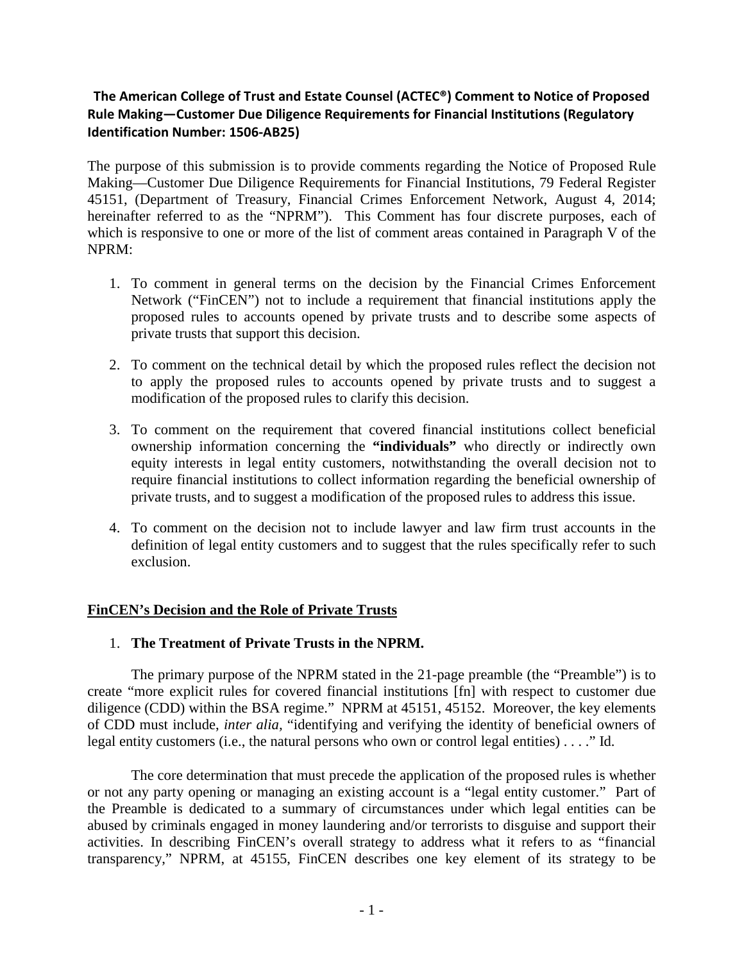# **The American College of Trust and Estate Counsel (ACTEC®) Comment to Notice of Proposed Rule Making—Customer Due Diligence Requirements for Financial Institutions (Regulatory Identification Number: 1506-AB25)**

The purpose of this submission is to provide comments regarding the Notice of Proposed Rule Making—Customer Due Diligence Requirements for Financial Institutions, 79 Federal Register 45151, (Department of Treasury, Financial Crimes Enforcement Network, August 4, 2014; hereinafter referred to as the "NPRM"). This Comment has four discrete purposes, each of which is responsive to one or more of the list of comment areas contained in Paragraph V of the NPRM:

- 1. To comment in general terms on the decision by the Financial Crimes Enforcement Network ("FinCEN") not to include a requirement that financial institutions apply the proposed rules to accounts opened by private trusts and to describe some aspects of private trusts that support this decision.
- 2. To comment on the technical detail by which the proposed rules reflect the decision not to apply the proposed rules to accounts opened by private trusts and to suggest a modification of the proposed rules to clarify this decision.
- 3. To comment on the requirement that covered financial institutions collect beneficial ownership information concerning the **"individuals"** who directly or indirectly own equity interests in legal entity customers, notwithstanding the overall decision not to require financial institutions to collect information regarding the beneficial ownership of private trusts, and to suggest a modification of the proposed rules to address this issue.
- 4. To comment on the decision not to include lawyer and law firm trust accounts in the definition of legal entity customers and to suggest that the rules specifically refer to such exclusion.

# **FinCEN's Decision and the Role of Private Trusts**

### 1. **The Treatment of Private Trusts in the NPRM.**

The primary purpose of the NPRM stated in the 21-page preamble (the "Preamble") is to create "more explicit rules for covered financial institutions [fn] with respect to customer due diligence (CDD) within the BSA regime." NPRM at 45151, 45152. Moreover, the key elements of CDD must include, *inter alia,* "identifying and verifying the identity of beneficial owners of legal entity customers (i.e., the natural persons who own or control legal entities) . . . ." Id.

The core determination that must precede the application of the proposed rules is whether or not any party opening or managing an existing account is a "legal entity customer." Part of the Preamble is dedicated to a summary of circumstances under which legal entities can be abused by criminals engaged in money laundering and/or terrorists to disguise and support their activities. In describing FinCEN's overall strategy to address what it refers to as "financial transparency," NPRM, at 45155, FinCEN describes one key element of its strategy to be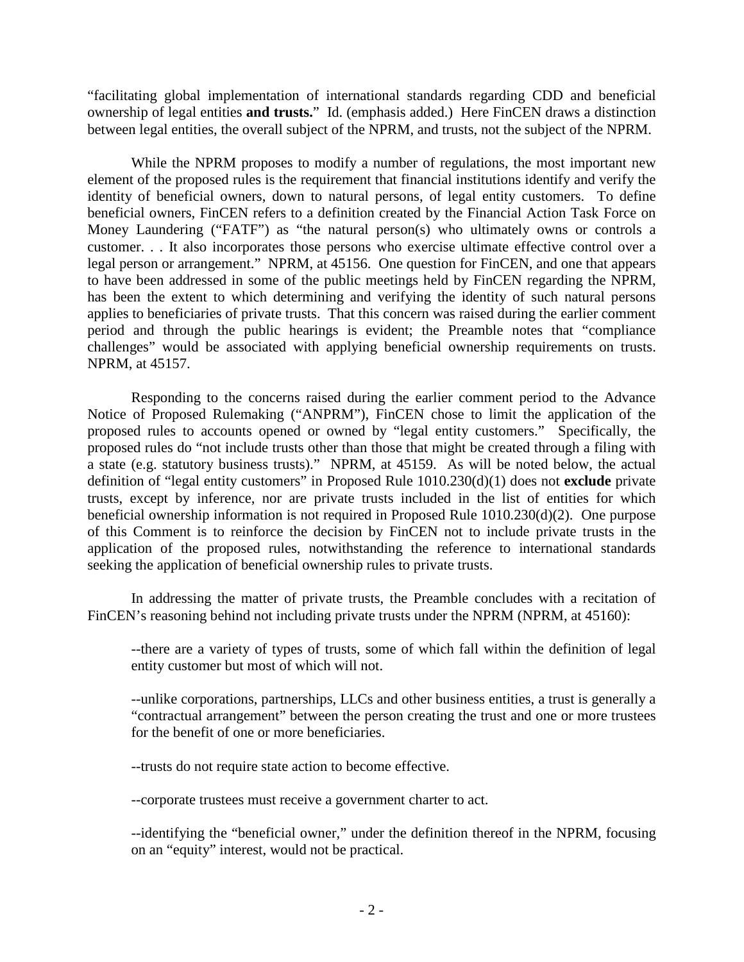"facilitating global implementation of international standards regarding CDD and beneficial ownership of legal entities **and trusts.**" Id. (emphasis added.) Here FinCEN draws a distinction between legal entities, the overall subject of the NPRM, and trusts, not the subject of the NPRM.

While the NPRM proposes to modify a number of regulations, the most important new element of the proposed rules is the requirement that financial institutions identify and verify the identity of beneficial owners, down to natural persons, of legal entity customers. To define beneficial owners, FinCEN refers to a definition created by the Financial Action Task Force on Money Laundering ("FATF") as "the natural person(s) who ultimately owns or controls a customer. . . It also incorporates those persons who exercise ultimate effective control over a legal person or arrangement." NPRM, at 45156. One question for FinCEN, and one that appears to have been addressed in some of the public meetings held by FinCEN regarding the NPRM, has been the extent to which determining and verifying the identity of such natural persons applies to beneficiaries of private trusts. That this concern was raised during the earlier comment period and through the public hearings is evident; the Preamble notes that "compliance challenges" would be associated with applying beneficial ownership requirements on trusts. NPRM, at 45157.

Responding to the concerns raised during the earlier comment period to the Advance Notice of Proposed Rulemaking ("ANPRM"), FinCEN chose to limit the application of the proposed rules to accounts opened or owned by "legal entity customers." Specifically, the proposed rules do "not include trusts other than those that might be created through a filing with a state (e.g. statutory business trusts)." NPRM, at 45159. As will be noted below, the actual definition of "legal entity customers" in Proposed Rule 1010.230(d)(1) does not **exclude** private trusts, except by inference, nor are private trusts included in the list of entities for which beneficial ownership information is not required in Proposed Rule 1010.230(d)(2). One purpose of this Comment is to reinforce the decision by FinCEN not to include private trusts in the application of the proposed rules, notwithstanding the reference to international standards seeking the application of beneficial ownership rules to private trusts.

In addressing the matter of private trusts, the Preamble concludes with a recitation of FinCEN's reasoning behind not including private trusts under the NPRM (NPRM, at 45160):

--there are a variety of types of trusts, some of which fall within the definition of legal entity customer but most of which will not.

--unlike corporations, partnerships, LLCs and other business entities, a trust is generally a "contractual arrangement" between the person creating the trust and one or more trustees for the benefit of one or more beneficiaries.

--trusts do not require state action to become effective.

--corporate trustees must receive a government charter to act.

--identifying the "beneficial owner," under the definition thereof in the NPRM, focusing on an "equity" interest, would not be practical.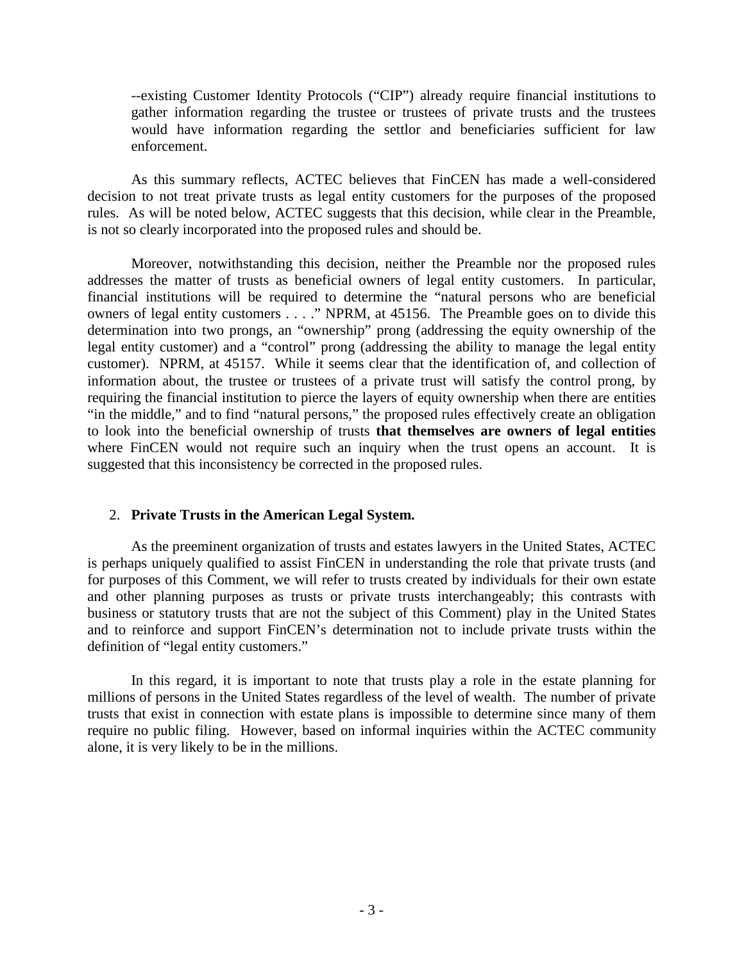--existing Customer Identity Protocols ("CIP") already require financial institutions to gather information regarding the trustee or trustees of private trusts and the trustees would have information regarding the settlor and beneficiaries sufficient for law enforcement.

As this summary reflects, ACTEC believes that FinCEN has made a well-considered decision to not treat private trusts as legal entity customers for the purposes of the proposed rules. As will be noted below, ACTEC suggests that this decision, while clear in the Preamble, is not so clearly incorporated into the proposed rules and should be.

Moreover, notwithstanding this decision, neither the Preamble nor the proposed rules addresses the matter of trusts as beneficial owners of legal entity customers. In particular, financial institutions will be required to determine the "natural persons who are beneficial owners of legal entity customers . . . ." NPRM, at 45156. The Preamble goes on to divide this determination into two prongs, an "ownership" prong (addressing the equity ownership of the legal entity customer) and a "control" prong (addressing the ability to manage the legal entity customer). NPRM, at 45157. While it seems clear that the identification of, and collection of information about, the trustee or trustees of a private trust will satisfy the control prong, by requiring the financial institution to pierce the layers of equity ownership when there are entities "in the middle," and to find "natural persons," the proposed rules effectively create an obligation to look into the beneficial ownership of trusts **that themselves are owners of legal entities** where FinCEN would not require such an inquiry when the trust opens an account. It is suggested that this inconsistency be corrected in the proposed rules.

# 2. **Private Trusts in the American Legal System.**

As the preeminent organization of trusts and estates lawyers in the United States, ACTEC is perhaps uniquely qualified to assist FinCEN in understanding the role that private trusts (and for purposes of this Comment, we will refer to trusts created by individuals for their own estate and other planning purposes as trusts or private trusts interchangeably; this contrasts with business or statutory trusts that are not the subject of this Comment) play in the United States and to reinforce and support FinCEN's determination not to include private trusts within the definition of "legal entity customers."

In this regard, it is important to note that trusts play a role in the estate planning for millions of persons in the United States regardless of the level of wealth. The number of private trusts that exist in connection with estate plans is impossible to determine since many of them require no public filing. However, based on informal inquiries within the ACTEC community alone, it is very likely to be in the millions.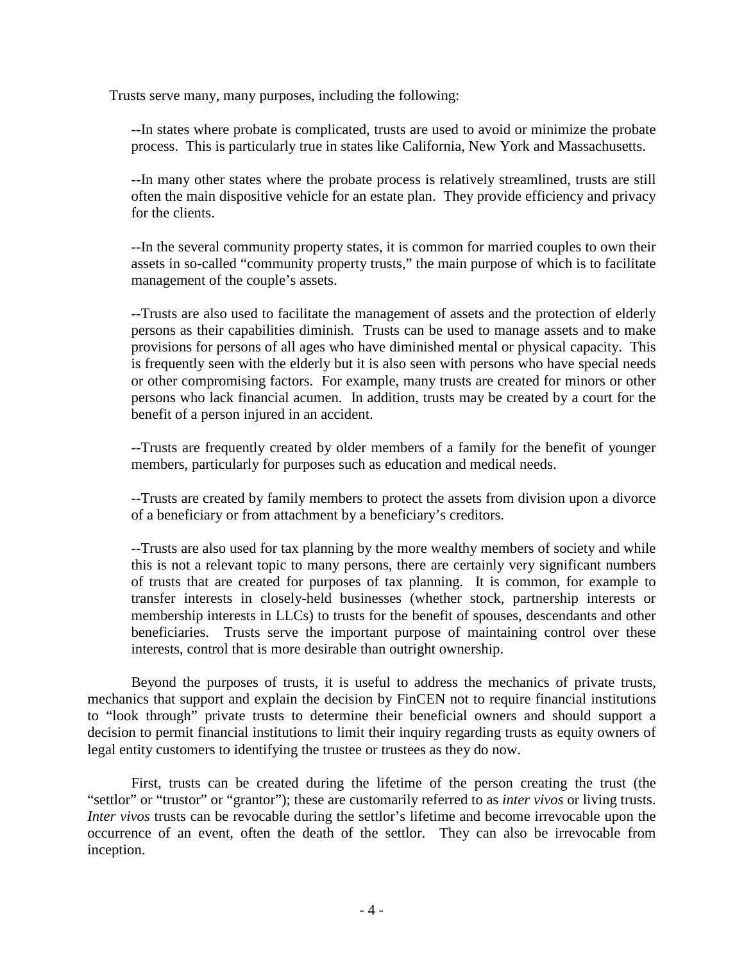Trusts serve many, many purposes, including the following:

--In states where probate is complicated, trusts are used to avoid or minimize the probate process. This is particularly true in states like California, New York and Massachusetts.

--In many other states where the probate process is relatively streamlined, trusts are still often the main dispositive vehicle for an estate plan. They provide efficiency and privacy for the clients.

--In the several community property states, it is common for married couples to own their assets in so-called "community property trusts," the main purpose of which is to facilitate management of the couple's assets.

--Trusts are also used to facilitate the management of assets and the protection of elderly persons as their capabilities diminish. Trusts can be used to manage assets and to make provisions for persons of all ages who have diminished mental or physical capacity. This is frequently seen with the elderly but it is also seen with persons who have special needs or other compromising factors. For example, many trusts are created for minors or other persons who lack financial acumen. In addition, trusts may be created by a court for the benefit of a person injured in an accident.

--Trusts are frequently created by older members of a family for the benefit of younger members, particularly for purposes such as education and medical needs.

--Trusts are created by family members to protect the assets from division upon a divorce of a beneficiary or from attachment by a beneficiary's creditors.

--Trusts are also used for tax planning by the more wealthy members of society and while this is not a relevant topic to many persons, there are certainly very significant numbers of trusts that are created for purposes of tax planning. It is common, for example to transfer interests in closely-held businesses (whether stock, partnership interests or membership interests in LLCs) to trusts for the benefit of spouses, descendants and other beneficiaries. Trusts serve the important purpose of maintaining control over these interests, control that is more desirable than outright ownership.

Beyond the purposes of trusts, it is useful to address the mechanics of private trusts, mechanics that support and explain the decision by FinCEN not to require financial institutions to "look through" private trusts to determine their beneficial owners and should support a decision to permit financial institutions to limit their inquiry regarding trusts as equity owners of legal entity customers to identifying the trustee or trustees as they do now.

First, trusts can be created during the lifetime of the person creating the trust (the "settlor" or "trustor" or "grantor"); these are customarily referred to as *inter vivos* or living trusts. *Inter vivos* trusts can be revocable during the settlor's lifetime and become irrevocable upon the occurrence of an event, often the death of the settlor. They can also be irrevocable from inception.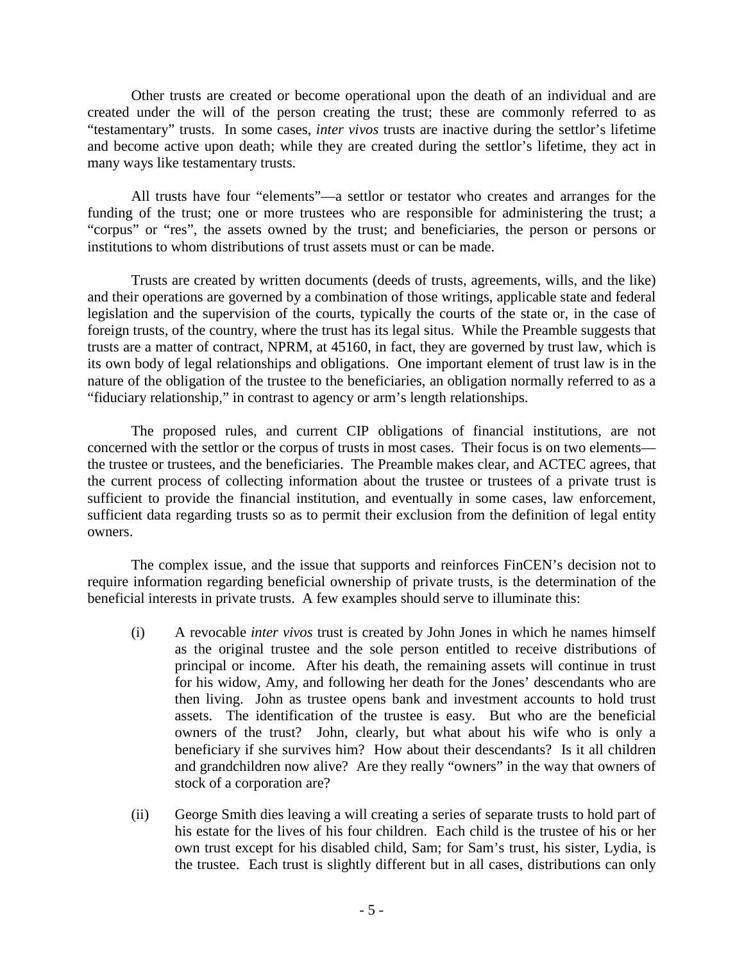Other trusts are created or become operational upon the death of an individual and are created under the will of the person creating the trust; these are commonly referred to as "testamentary" trusts. In some cases, *inter vivos* trusts are inactive during the settlor's lifetime and become active upon death; while they are created during the settlor's lifetime, they act in many ways like testamentary trusts.

All trusts have four "elements"—a settlor or testator who creates and arranges for the funding of the trust; one or more trustees who are responsible for administering the trust; a "corpus" or "res", the assets owned by the trust; and beneficiaries, the person or persons or institutions to whom distributions of trust assets must or can be made.

Trusts are created by written documents (deeds of trusts, agreements, wills, and the like) and their operations are governed by a combination of those writings, applicable state and federal legislation and the supervision of the courts, typically the courts of the state or, in the case of foreign trusts, of the country, where the trust has its legal situs. While the Preamble suggests that trusts are a matter of contract, NPRM, at 45160, in fact, they are governed by trust law, which is its own body of legal relationships and obligations. One important element of trust law is in the nature of the obligation of the trustee to the beneficiaries, an obligation normally referred to as a "fiduciary relationship," in contrast to agency or arm's length relationships.

The proposed rules, and current CIP obligations of financial institutions, are not concerned with the settlor or the corpus of trusts in most cases. Their focus is on two elements the trustee or trustees, and the beneficiaries. The Preamble makes clear, and ACTEC agrees, that the current process of collecting information about the trustee or trustees of a private trust is sufficient to provide the financial institution, and eventually in some cases, law enforcement, sufficient data regarding trusts so as to permit their exclusion from the definition of legal entity owners.

The complex issue, and the issue that supports and reinforces FinCEN's decision not to require information regarding beneficial ownership of private trusts, is the determination of the beneficial interests in private trusts. A few examples should serve to illuminate this:

- (i) A revocable *inter vivos* trust is created by John Jones in which he names himself as the original trustee and the sole person entitled to receive distributions of principal or income. After his death, the remaining assets will continue in trust for his widow, Amy, and following her death for the Jones' descendants who are then living. John as trustee opens bank and investment accounts to hold trust assets. The identification of the trustee is easy. But who are the beneficial owners of the trust? John, clearly, but what about his wife who is only a beneficiary if she survives him? How about their descendants? Is it all children and grandchildren now alive? Are they really "owners" in the way that owners of stock of a corporation are?
- (ii) George Smith dies leaving a will creating a series of separate trusts to hold part of his estate for the lives of his four children. Each child is the trustee of his or her own trust except for his disabled child, Sam; for Sam's trust, his sister, Lydia, is the trustee. Each trust is slightly different but in all cases, distributions can only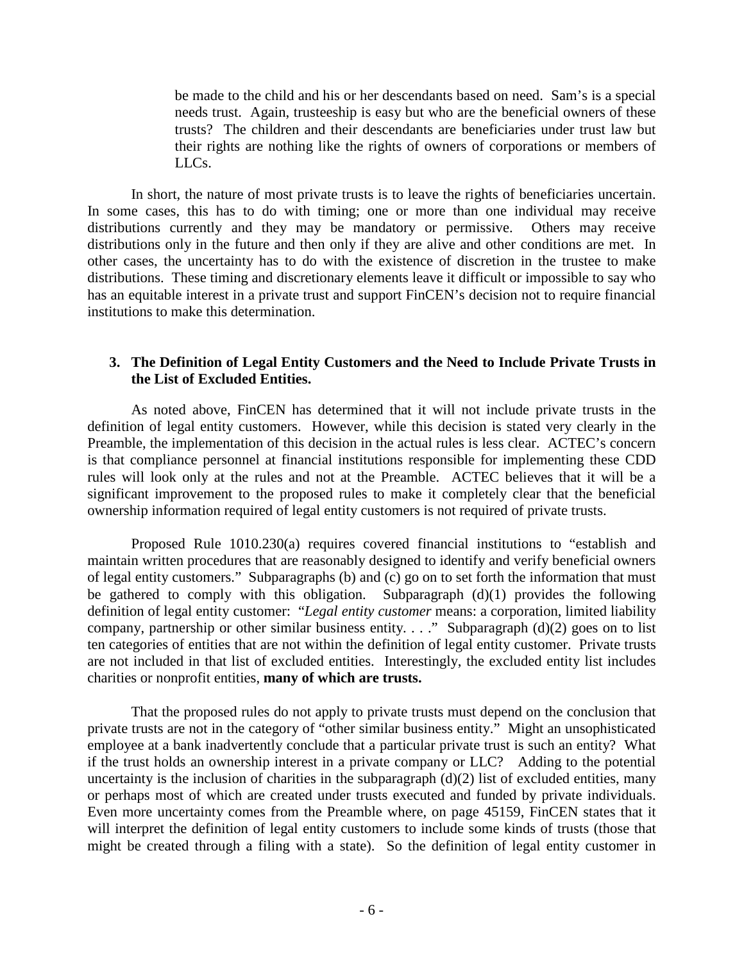be made to the child and his or her descendants based on need. Sam's is a special needs trust. Again, trusteeship is easy but who are the beneficial owners of these trusts? The children and their descendants are beneficiaries under trust law but their rights are nothing like the rights of owners of corporations or members of LLCs.

In short, the nature of most private trusts is to leave the rights of beneficiaries uncertain. In some cases, this has to do with timing; one or more than one individual may receive distributions currently and they may be mandatory or permissive. Others may receive distributions only in the future and then only if they are alive and other conditions are met. In other cases, the uncertainty has to do with the existence of discretion in the trustee to make distributions. These timing and discretionary elements leave it difficult or impossible to say who has an equitable interest in a private trust and support FinCEN's decision not to require financial institutions to make this determination.

# **3. The Definition of Legal Entity Customers and the Need to Include Private Trusts in the List of Excluded Entities.**

As noted above, FinCEN has determined that it will not include private trusts in the definition of legal entity customers. However, while this decision is stated very clearly in the Preamble, the implementation of this decision in the actual rules is less clear. ACTEC's concern is that compliance personnel at financial institutions responsible for implementing these CDD rules will look only at the rules and not at the Preamble. ACTEC believes that it will be a significant improvement to the proposed rules to make it completely clear that the beneficial ownership information required of legal entity customers is not required of private trusts.

Proposed Rule 1010.230(a) requires covered financial institutions to "establish and maintain written procedures that are reasonably designed to identify and verify beneficial owners of legal entity customers." Subparagraphs (b) and (c) go on to set forth the information that must be gathered to comply with this obligation. Subparagraph (d)(1) provides the following definition of legal entity customer: "*Legal entity customer* means: a corporation, limited liability company, partnership or other similar business entity. . . ." Subparagraph (d)(2) goes on to list ten categories of entities that are not within the definition of legal entity customer. Private trusts are not included in that list of excluded entities. Interestingly, the excluded entity list includes charities or nonprofit entities, **many of which are trusts.**

That the proposed rules do not apply to private trusts must depend on the conclusion that private trusts are not in the category of "other similar business entity." Might an unsophisticated employee at a bank inadvertently conclude that a particular private trust is such an entity? What if the trust holds an ownership interest in a private company or LLC? Adding to the potential uncertainty is the inclusion of charities in the subparagraph  $(d)(2)$  list of excluded entities, many or perhaps most of which are created under trusts executed and funded by private individuals. Even more uncertainty comes from the Preamble where, on page 45159, FinCEN states that it will interpret the definition of legal entity customers to include some kinds of trusts (those that might be created through a filing with a state). So the definition of legal entity customer in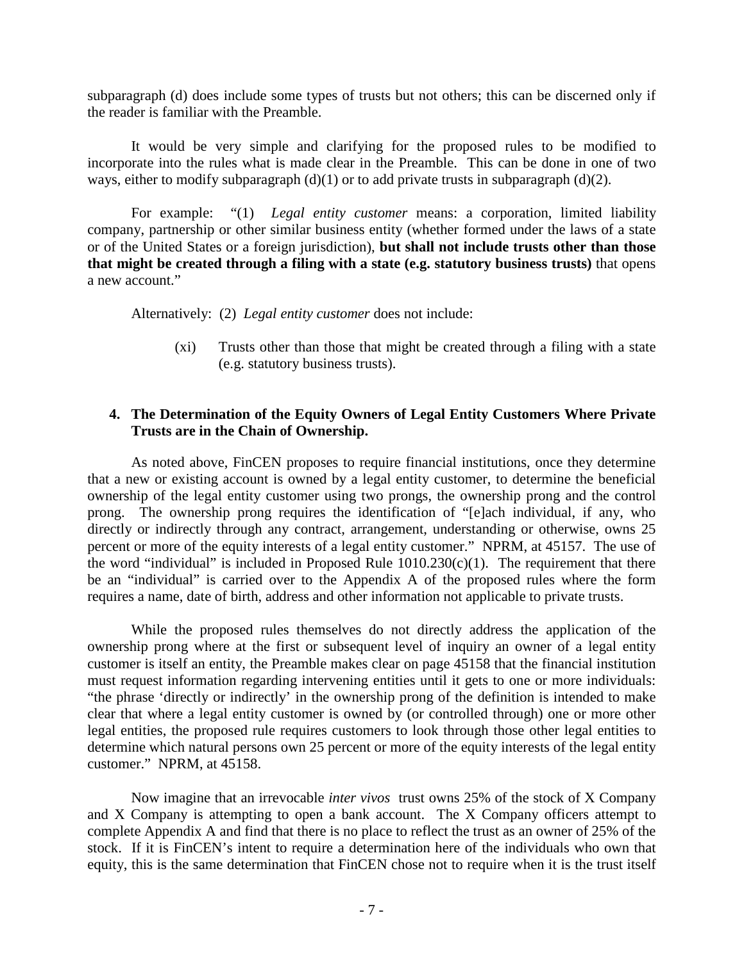subparagraph (d) does include some types of trusts but not others; this can be discerned only if the reader is familiar with the Preamble.

It would be very simple and clarifying for the proposed rules to be modified to incorporate into the rules what is made clear in the Preamble. This can be done in one of two ways, either to modify subparagraph  $(d)(1)$  or to add private trusts in subparagraph  $(d)(2)$ .

For example: "(1) *Legal entity customer* means: a corporation, limited liability company, partnership or other similar business entity (whether formed under the laws of a state or of the United States or a foreign jurisdiction), **but shall not include trusts other than those that might be created through a filing with a state (e.g. statutory business trusts)** that opens a new account."

Alternatively: (2) *Legal entity customer* does not include:

(xi) Trusts other than those that might be created through a filing with a state (e.g. statutory business trusts).

# **4. The Determination of the Equity Owners of Legal Entity Customers Where Private Trusts are in the Chain of Ownership.**

As noted above, FinCEN proposes to require financial institutions, once they determine that a new or existing account is owned by a legal entity customer, to determine the beneficial ownership of the legal entity customer using two prongs, the ownership prong and the control prong. The ownership prong requires the identification of "[e]ach individual, if any, who directly or indirectly through any contract, arrangement, understanding or otherwise, owns 25 percent or more of the equity interests of a legal entity customer." NPRM, at 45157. The use of the word "individual" is included in Proposed Rule  $1010.230(c)(1)$ . The requirement that there be an "individual" is carried over to the Appendix A of the proposed rules where the form requires a name, date of birth, address and other information not applicable to private trusts.

While the proposed rules themselves do not directly address the application of the ownership prong where at the first or subsequent level of inquiry an owner of a legal entity customer is itself an entity, the Preamble makes clear on page 45158 that the financial institution must request information regarding intervening entities until it gets to one or more individuals: "the phrase 'directly or indirectly' in the ownership prong of the definition is intended to make clear that where a legal entity customer is owned by (or controlled through) one or more other legal entities, the proposed rule requires customers to look through those other legal entities to determine which natural persons own 25 percent or more of the equity interests of the legal entity customer." NPRM, at 45158.

Now imagine that an irrevocable *inter vivos* trust owns 25% of the stock of X Company and X Company is attempting to open a bank account. The X Company officers attempt to complete Appendix A and find that there is no place to reflect the trust as an owner of 25% of the stock. If it is FinCEN's intent to require a determination here of the individuals who own that equity, this is the same determination that FinCEN chose not to require when it is the trust itself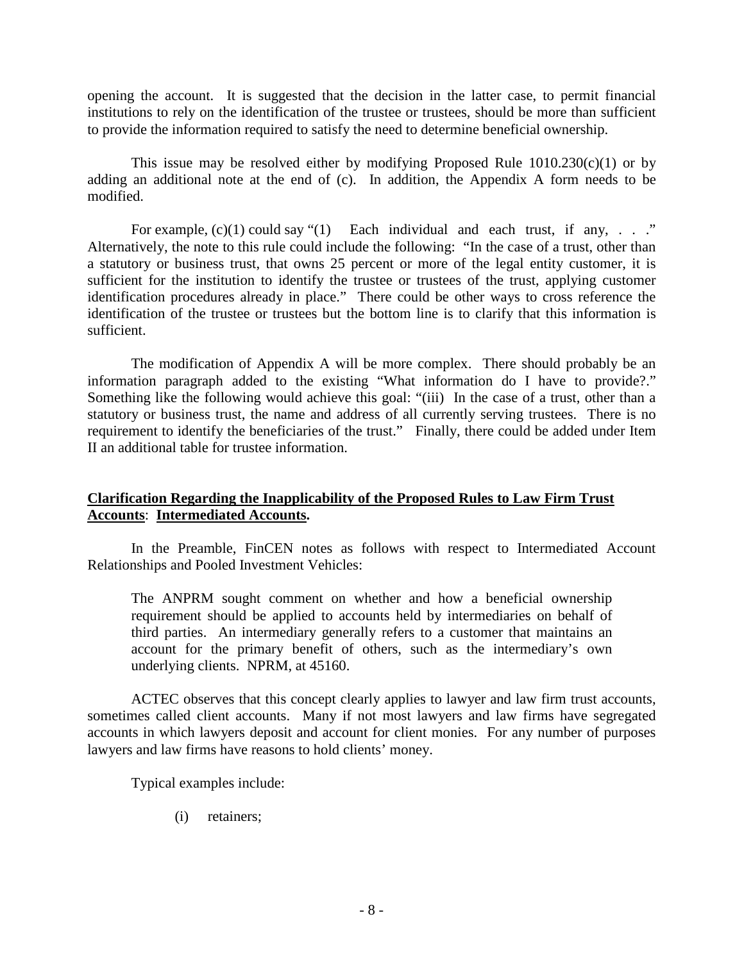opening the account. It is suggested that the decision in the latter case, to permit financial institutions to rely on the identification of the trustee or trustees, should be more than sufficient to provide the information required to satisfy the need to determine beneficial ownership.

This issue may be resolved either by modifying Proposed Rule  $1010.230(c)(1)$  or by adding an additional note at the end of (c). In addition, the Appendix A form needs to be modified.

For example,  $(c)(1)$  could say " $(1)$  Each individual and each trust, if any, . . ." Alternatively, the note to this rule could include the following: "In the case of a trust, other than a statutory or business trust, that owns 25 percent or more of the legal entity customer, it is sufficient for the institution to identify the trustee or trustees of the trust, applying customer identification procedures already in place." There could be other ways to cross reference the identification of the trustee or trustees but the bottom line is to clarify that this information is sufficient.

The modification of Appendix A will be more complex. There should probably be an information paragraph added to the existing "What information do I have to provide?." Something like the following would achieve this goal: "(iii) In the case of a trust, other than a statutory or business trust, the name and address of all currently serving trustees. There is no requirement to identify the beneficiaries of the trust." Finally, there could be added under Item II an additional table for trustee information.

## **Clarification Regarding the Inapplicability of the Proposed Rules to Law Firm Trust Accounts**: **Intermediated Accounts.**

In the Preamble, FinCEN notes as follows with respect to Intermediated Account Relationships and Pooled Investment Vehicles:

The ANPRM sought comment on whether and how a beneficial ownership requirement should be applied to accounts held by intermediaries on behalf of third parties. An intermediary generally refers to a customer that maintains an account for the primary benefit of others, such as the intermediary's own underlying clients. NPRM, at 45160.

ACTEC observes that this concept clearly applies to lawyer and law firm trust accounts, sometimes called client accounts. Many if not most lawyers and law firms have segregated accounts in which lawyers deposit and account for client monies. For any number of purposes lawyers and law firms have reasons to hold clients' money.

Typical examples include:

(i) retainers;